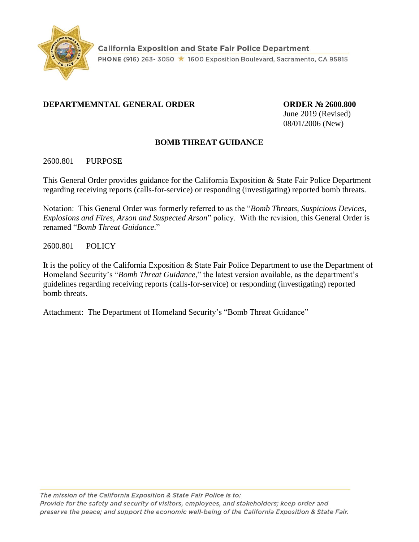

# **DEPARTMEMNTAL GENERAL ORDER ORDER № 2600.800**

June 2019 (Revised) 08/01/2006 (New)

# **BOMB THREAT GUIDANCE**

# 2600.801 PURPOSE

This General Order provides guidance for the California Exposition & State Fair Police Department regarding receiving reports (calls-for-service) or responding (investigating) reported bomb threats.

Notation: This General Order was formerly referred to as the "*Bomb Threats, Suspicious Devices, Explosions and Fires, Arson and Suspected Arson*" policy. With the revision, this General Order is renamed "*Bomb Threat Guidance*."

2600.801 POLICY

It is the policy of the California Exposition & State Fair Police Department to use the Department of Homeland Security's "*Bomb Threat Guidance*," the latest version available, as the department's guidelines regarding receiving reports (calls-for-service) or responding (investigating) reported bomb threats.

Attachment: The Department of Homeland Security's "Bomb Threat Guidance"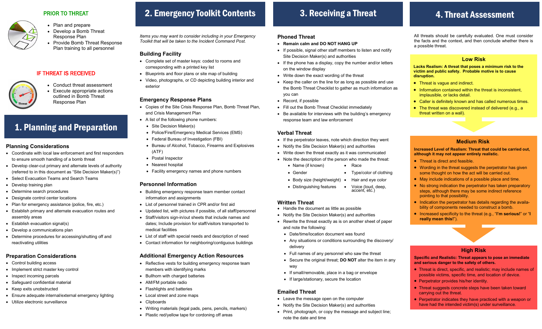### PRIOR TO THREAT



- Develop a Bomb Threat Response Plan
- Provide Bomb Threat Response Plan training to all personnel

# IF THREAT IS RECEIVED



 Conduct threat assessment Execute appropriate actions outlined in Bomb Threat Response Plan

# 1. Planning and Preparation

#### **Planning Considerations**

- Coordinate with local law enforcement and first responders to ensure smooth handling of a bomb threat
- Develop clear-cut primary and alternate levels of authority (referred to in this document as "Site Decision Maker(s)")
- Select Evacuation Teams and Search Teams
- Develop training plan
- Determine search procedures
- Designate control center locations
- Plan for emergency assistance (police, fire, etc.)
- Establish primary and alternate evacuation routes and assembly areas
- Establish evacuation signal(s)
- Develop a communications plan
- Determine procedures for accessing/shutting off and reactivating utilities

# **Preparation Considerations**

- Control building access
- Implement strict master key control
- Inspect incoming parcels
- Safeguard confidential material
- Keep exits unobstructed
- Ensure adequate internal/external emergency lighting
- Utilize electronic surveillance

# 2. Emergency Toolkit Contents

 *Items you may want to consider including in your Emergency Toolkit that will be taken to the Incident Command Post.* 

### **Building Facility**

- Complete set of master keys: coded to rooms and corresponding with a printed key list
- Blueprints and floor plans or site map of building
- Video, photographs, or CD depicting building interior and exterior

# **Emergency Response Plans**

- Copies of the Site Crisis Response Plan, Bomb Threat Plan, and Crisis Management Plan
- A list of the following phone numbers:
- Site Decision Maker(s)
- Police/Fire/Emergency Medical Services (EMS)
- Federal Bureau of Investigation (FBI)
- Bureau of Alcohol, Tobacco, Firearms and Explosives (ATF)
- Postal Inspector
- Nearest hospital
- Facility emergency names and phone numbers

### **Personnel Information**

- Building emergency response team member contact information and assignments
- List of personnel trained in CPR and/or first aid
- Updated list, with pictures if possible, of all staff/personnel
- Staff/visitors sign-in/out sheets that include names and dates; Include provision for staff/visitors transported to medical facilities
- List of staff with special needs and description of need
- Contact information for neighboring/contiguous buildings

### **Additional Emergency Action Resources**

- Reflective vests for building emergency response team members with identifying marks
- Bullhorn with charged batteries
- AM/FM portable radio
- Flashlights and batteries
- Local street and zone maps
- Clipboards
- Writing materials (legal pads, pens, pencils, markers)
- Plastic red/yellow tape for cordoning off areas

# 3. Receiving a Threat

# **Phoned Threat**

- **Remain calm and DO NOT HANG UP**
- If possible, signal other staff members to listen and notify Site Decision Maker(s) and authorities
- If the phone has a display, copy the number and/or letters on the window display
- Write down the exact wording of the threat
- Keep the caller on the line for as long as possible and use the Bomb Threat Checklist to gather as much information as you can
- Record, if possible
- Fill out the Bomb Threat Checklist immediately
- Be available for interviews with the building's emergency response team and law enforcement

# **Verbal Threat**

- If the perpetrator leaves, note which direction they went
- Notify the Site Decision Maker(s) and authorities
- Write down the threat exactly as it was communicated
- Note the description of the person who made the threat:
	- Name (if known) Race
	- Gender Type/color of clothing
	- Body size (height/weight) Hair and eye color
	- Distinguishing features Voice (loud, deep, accent, etc.)

### **Written Threat**

- Handle the document as little as possible
- Notify the Site Decision Maker(s) and authorities
- Rewrite the threat exactly as is on another sheet of paper and note the following:
	- Date/time/location document was found
- Any situations or conditions surrounding the discovery/ delivery
- Full names of any personnel who saw the threat
- Secure the original threat; **DO NOT** alter the item in any way
- If small/removable, place in a bag or envelope
- If large/stationary, secure the location

# **Emailed Threat**

- Leave the message open on the computer
- Notify the Site Decision Maker(s) and authorities
- Print, photograph, or copy the message and subject line; note the date and time

# 4. Threat Assessment

All threats should be carefully evaluated. One must consider the facts and the context, and then conclude whether there is a possible threat.

### **Low Risk**

**Lacks Realism: A threat that poses a minimum risk to the victim and public safety. Probable motive is to cause disruption.** 

• Threat is vague and indirect.

threat written on a wall).

• Threat is direct and feasible.

pointing to that possibility.

**really mean this!**").

- Information contained within the threat is inconsistent, implausible, or lacks detail.
- Caller is definitely known and has called numerous times. • The threat was discovered instead of delivered (e.g., a

**Medium Risk Increased Level of Realism: Threat that could be carried out,** 

• Wording in the threat suggests the perpetrator has given some thought on how the act will be carried out. May include indications of a possible place and time. • No strong indication the perpetrator has taken preparatory steps, although there may be some indirect reference

• Indication the perpetrator has details regarding the availability of components needed to construct a bomb. Increased specificity to the threat (e.g., "**I'm serious!**" or "**I** 

**High Risk Specific and Realistic: Threat appears to pose an immediate** 

• Threat is direct, specific, and realistic; may include names of possible victims, specific time, and location of device.

• Threat suggests concrete steps have been taken toward

• Perpetrator indicates they have practiced with a weapon or have had the intended victim(s) under surveillance.

**and serious danger to the safety of others.** 

• Perpetrator provides his/her identity.

carrying out the threat.

**although it may not appear entirely realistic.**